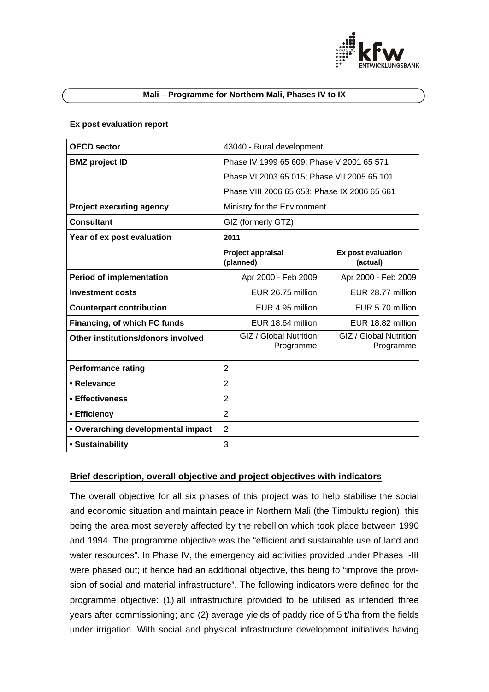

### **Mali – Programme for Northern Mali, Phases IV to IX**

### **Ex post evaluation report**

| <b>OECD</b> sector                 | 43040 - Rural development                    |                                     |  |
|------------------------------------|----------------------------------------------|-------------------------------------|--|
| <b>BMZ</b> project ID              | Phase IV 1999 65 609; Phase V 2001 65 571    |                                     |  |
|                                    | Phase VI 2003 65 015; Phase VII 2005 65 101  |                                     |  |
|                                    |                                              |                                     |  |
|                                    | Phase VIII 2006 65 653; Phase IX 2006 65 661 |                                     |  |
| <b>Project executing agency</b>    | Ministry for the Environment                 |                                     |  |
| <b>Consultant</b>                  | GIZ (formerly GTZ)                           |                                     |  |
| Year of ex post evaluation         | 2011                                         |                                     |  |
|                                    | Project appraisal<br>(planned)               | Ex post evaluation<br>(actual)      |  |
| <b>Period of implementation</b>    | Apr 2000 - Feb 2009                          | Apr 2000 - Feb 2009                 |  |
| <b>Investment costs</b>            | EUR 26.75 million                            | EUR 28.77 million                   |  |
| <b>Counterpart contribution</b>    | EUR 4.95 million                             | EUR 5.70 million                    |  |
| Financing, of which FC funds       | EUR 18.64 million                            | EUR 18.82 million                   |  |
| Other institutions/donors involved | GIZ / Global Nutrition<br>Programme          | GIZ / Global Nutrition<br>Programme |  |
| <b>Performance rating</b>          | $\overline{2}$                               |                                     |  |
| • Relevance                        | $\overline{2}$                               |                                     |  |
| • Effectiveness                    | $\overline{2}$                               |                                     |  |
| • Efficiency                       | $\overline{2}$                               |                                     |  |
| • Overarching developmental impact | 2                                            |                                     |  |
| • Sustainability                   | 3                                            |                                     |  |

# **Brief description, overall objective and project objectives with indicators**

The overall objective for all six phases of this project was to help stabilise the social and economic situation and maintain peace in Northern Mali (the Timbuktu region), this being the area most severely affected by the rebellion which took place between 1990 and 1994. The programme objective was the "efficient and sustainable use of land and water resources". In Phase IV, the emergency aid activities provided under Phases I-III were phased out; it hence had an additional objective, this being to "improve the provision of social and material infrastructure". The following indicators were defined for the programme objective: (1) all infrastructure provided to be utilised as intended three years after commissioning; and (2) average yields of paddy rice of 5 t/ha from the fields under irrigation. With social and physical infrastructure development initiatives having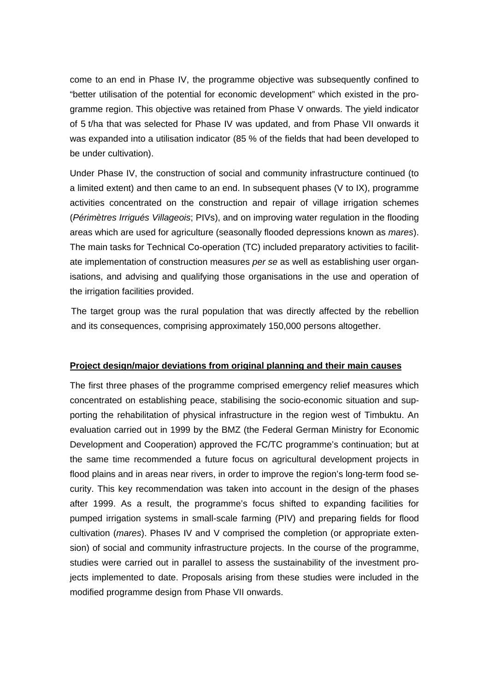come to an end in Phase IV, the programme objective was subsequently confined to "better utilisation of the potential for economic development" which existed in the programme region. This objective was retained from Phase V onwards. The yield indicator of 5 t/ha that was selected for Phase IV was updated, and from Phase VII onwards it was expanded into a utilisation indicator (85 % of the fields that had been developed to be under cultivation).

Under Phase IV, the construction of social and community infrastructure continued (to a limited extent) and then came to an end. In subsequent phases (V to IX), programme activities concentrated on the construction and repair of village irrigation schemes (*Périmètres Irrigués Villageois*; PIVs), and on improving water regulation in the flooding areas which are used for agriculture (seasonally flooded depressions known as *mares*). The main tasks for Technical Co-operation (TC) included preparatory activities to facilitate implementation of construction measures *per se* as well as establishing user organisations, and advising and qualifying those organisations in the use and operation of the irrigation facilities provided.

The target group was the rural population that was directly affected by the rebellion and its consequences, comprising approximately 150,000 persons altogether.

# **Project design/major deviations from original planning and their main causes**

The first three phases of the programme comprised emergency relief measures which concentrated on establishing peace, stabilising the socio-economic situation and supporting the rehabilitation of physical infrastructure in the region west of Timbuktu. An evaluation carried out in 1999 by the BMZ (the Federal German Ministry for Economic Development and Cooperation) approved the FC/TC programme's continuation; but at the same time recommended a future focus on agricultural development projects in flood plains and in areas near rivers, in order to improve the region's long-term food security. This key recommendation was taken into account in the design of the phases after 1999. As a result, the programme's focus shifted to expanding facilities for pumped irrigation systems in small-scale farming (PIV) and preparing fields for flood cultivation (*mares*). Phases IV and V comprised the completion (or appropriate extension) of social and community infrastructure projects. In the course of the programme, studies were carried out in parallel to assess the sustainability of the investment projects implemented to date. Proposals arising from these studies were included in the modified programme design from Phase VII onwards.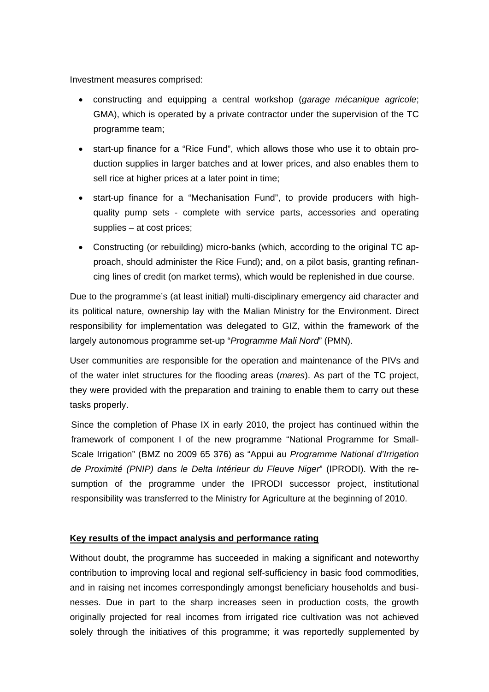Investment measures comprised:

- constructing and equipping a central workshop (*garage mécanique agricole*; GMA), which is operated by a private contractor under the supervision of the TC programme team;
- start-up finance for a "Rice Fund", which allows those who use it to obtain production supplies in larger batches and at lower prices, and also enables them to sell rice at higher prices at a later point in time:
- start-up finance for a "Mechanisation Fund", to provide producers with highquality pump sets - complete with service parts, accessories and operating supplies – at cost prices;
- Constructing (or rebuilding) micro-banks (which, according to the original TC approach, should administer the Rice Fund); and, on a pilot basis, granting refinancing lines of credit (on market terms), which would be replenished in due course.

Due to the programme's (at least initial) multi-disciplinary emergency aid character and its political nature, ownership lay with the Malian Ministry for the Environment. Direct responsibility for implementation was delegated to GIZ, within the framework of the largely autonomous programme set-up "*Programme Mali Nord*" (PMN).

User communities are responsible for the operation and maintenance of the PIVs and of the water inlet structures for the flooding areas (*mares*). As part of the TC project, they were provided with the preparation and training to enable them to carry out these tasks properly.

Since the completion of Phase IX in early 2010, the project has continued within the framework of component I of the new programme "National Programme for Small-Scale Irrigation" (BMZ no 2009 65 376) as "Appui au *Programme National d'Irrigation de Proximité (PNIP) dans le Delta Intérieur du Fleuve Niger*" (IPRODI). With the resumption of the programme under the IPRODI successor project, institutional responsibility was transferred to the Ministry for Agriculture at the beginning of 2010.

# **Key results of the impact analysis and performance rating**

Without doubt, the programme has succeeded in making a significant and noteworthy contribution to improving local and regional self-sufficiency in basic food commodities, and in raising net incomes correspondingly amongst beneficiary households and businesses. Due in part to the sharp increases seen in production costs, the growth originally projected for real incomes from irrigated rice cultivation was not achieved solely through the initiatives of this programme; it was reportedly supplemented by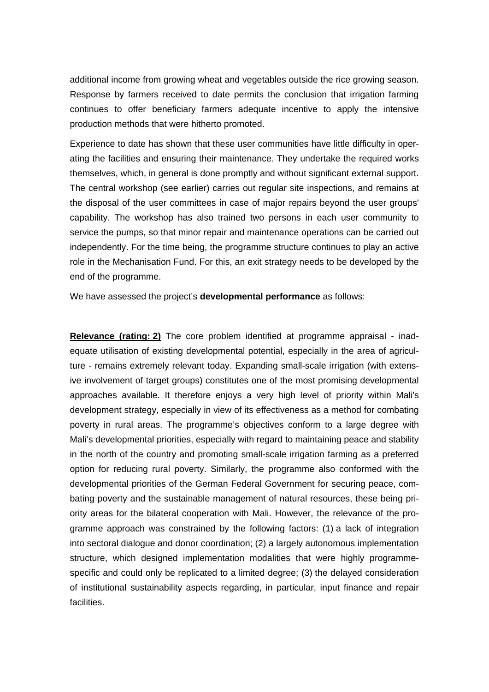additional income from growing wheat and vegetables outside the rice growing season. Response by farmers received to date permits the conclusion that irrigation farming continues to offer beneficiary farmers adequate incentive to apply the intensive production methods that were hitherto promoted.

Experience to date has shown that these user communities have little difficulty in operating the facilities and ensuring their maintenance. They undertake the required works themselves, which, in general is done promptly and without significant external support. The central workshop (see earlier) carries out regular site inspections, and remains at the disposal of the user committees in case of major repairs beyond the user groups' capability. The workshop has also trained two persons in each user community to service the pumps, so that minor repair and maintenance operations can be carried out independently. For the time being, the programme structure continues to play an active role in the Mechanisation Fund. For this, an exit strategy needs to be developed by the end of the programme.

We have assessed the project's **developmental performance** as follows:

**Relevance (rating: 2)** The core problem identified at programme appraisal - inadequate utilisation of existing developmental potential, especially in the area of agriculture - remains extremely relevant today. Expanding small-scale irrigation (with extensive involvement of target groups) constitutes one of the most promising developmental approaches available. It therefore enjoys a very high level of priority within Mali's development strategy, especially in view of its effectiveness as a method for combating poverty in rural areas. The programme's objectives conform to a large degree with Mali's developmental priorities, especially with regard to maintaining peace and stability in the north of the country and promoting small-scale irrigation farming as a preferred option for reducing rural poverty. Similarly, the programme also conformed with the developmental priorities of the German Federal Government for securing peace, combating poverty and the sustainable management of natural resources, these being priority areas for the bilateral cooperation with Mali. However, the relevance of the programme approach was constrained by the following factors: (1) a lack of integration into sectoral dialogue and donor coordination; (2) a largely autonomous implementation structure, which designed implementation modalities that were highly programmespecific and could only be replicated to a limited degree; (3) the delayed consideration of institutional sustainability aspects regarding, in particular, input finance and repair facilities.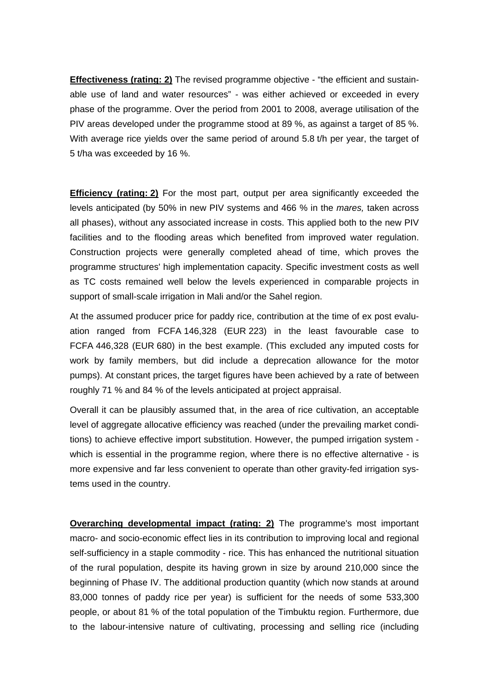**Effectiveness (rating: 2)** The revised programme objective - "the efficient and sustainable use of land and water resources" - was either achieved or exceeded in every phase of the programme. Over the period from 2001 to 2008, average utilisation of the PIV areas developed under the programme stood at 89 %, as against a target of 85 %. With average rice yields over the same period of around 5.8 t/h per year, the target of 5 t/ha was exceeded by 16 %.

**Efficiency (rating: 2)** For the most part, output per area significantly exceeded the levels anticipated (by 50% in new PIV systems and 466 % in the *mares,* taken across all phases), without any associated increase in costs. This applied both to the new PIV facilities and to the flooding areas which benefited from improved water regulation. Construction projects were generally completed ahead of time, which proves the programme structures' high implementation capacity. Specific investment costs as well as TC costs remained well below the levels experienced in comparable projects in support of small-scale irrigation in Mali and/or the Sahel region.

At the assumed producer price for paddy rice, contribution at the time of ex post evaluation ranged from FCFA 146,328 (EUR 223) in the least favourable case to FCFA 446,328 (EUR 680) in the best example. (This excluded any imputed costs for work by family members, but did include a deprecation allowance for the motor pumps). At constant prices, the target figures have been achieved by a rate of between roughly 71 % and 84 % of the levels anticipated at project appraisal.

Overall it can be plausibly assumed that, in the area of rice cultivation, an acceptable level of aggregate allocative efficiency was reached (under the prevailing market conditions) to achieve effective import substitution. However, the pumped irrigation system which is essential in the programme region, where there is no effective alternative - is more expensive and far less convenient to operate than other gravity-fed irrigation systems used in the country.

**Overarching developmental impact (rating: 2)** The programme's most important macro- and socio-economic effect lies in its contribution to improving local and regional self-sufficiency in a staple commodity - rice. This has enhanced the nutritional situation of the rural population, despite its having grown in size by around 210,000 since the beginning of Phase IV. The additional production quantity (which now stands at around 83,000 tonnes of paddy rice per year) is sufficient for the needs of some 533,300 people, or about 81 % of the total population of the Timbuktu region. Furthermore, due to the labour-intensive nature of cultivating, processing and selling rice (including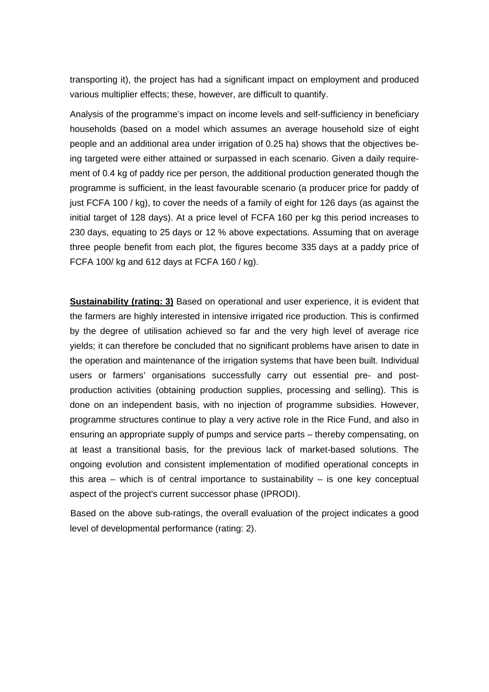transporting it), the project has had a significant impact on employment and produced various multiplier effects; these, however, are difficult to quantify.

Analysis of the programme's impact on income levels and self-sufficiency in beneficiary households (based on a model which assumes an average household size of eight people and an additional area under irrigation of 0.25 ha) shows that the objectives being targeted were either attained or surpassed in each scenario. Given a daily requirement of 0.4 kg of paddy rice per person, the additional production generated though the programme is sufficient, in the least favourable scenario (a producer price for paddy of just FCFA 100 / kg), to cover the needs of a family of eight for 126 days (as against the initial target of 128 days). At a price level of FCFA 160 per kg this period increases to 230 days, equating to 25 days or 12 % above expectations. Assuming that on average three people benefit from each plot, the figures become 335 days at a paddy price of FCFA 100/ kg and 612 days at FCFA 160 / kg).

**Sustainability (rating: 3)** Based on operational and user experience, it is evident that the farmers are highly interested in intensive irrigated rice production. This is confirmed by the degree of utilisation achieved so far and the very high level of average rice yields; it can therefore be concluded that no significant problems have arisen to date in the operation and maintenance of the irrigation systems that have been built. Individual users or farmers' organisations successfully carry out essential pre- and postproduction activities (obtaining production supplies, processing and selling). This is done on an independent basis, with no injection of programme subsidies. However, programme structures continue to play a very active role in the Rice Fund, and also in ensuring an appropriate supply of pumps and service parts – thereby compensating, on at least a transitional basis, for the previous lack of market-based solutions. The ongoing evolution and consistent implementation of modified operational concepts in this area  $-$  which is of central importance to sustainability  $-$  is one key conceptual aspect of the project's current successor phase (IPRODI).

Based on the above sub-ratings, the overall evaluation of the project indicates a good level of developmental performance (rating: 2).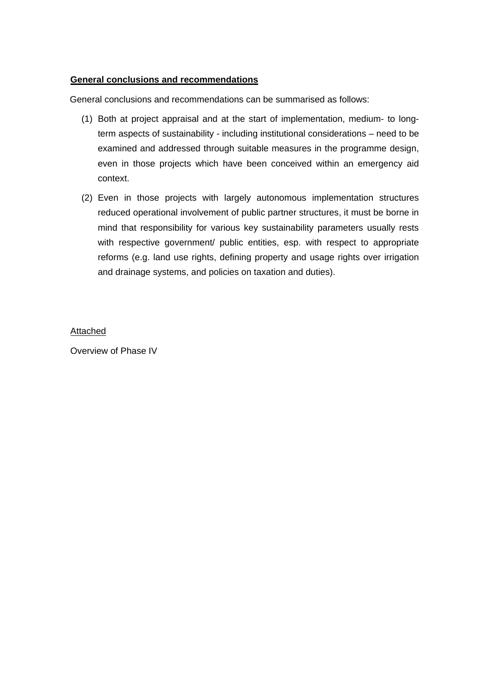# **General conclusions and recommendations**

General conclusions and recommendations can be summarised as follows:

- (1) Both at project appraisal and at the start of implementation, medium- to longterm aspects of sustainability - including institutional considerations – need to be examined and addressed through suitable measures in the programme design, even in those projects which have been conceived within an emergency aid context.
- (2) Even in those projects with largely autonomous implementation structures reduced operational involvement of public partner structures, it must be borne in mind that responsibility for various key sustainability parameters usually rests with respective government/ public entities, esp. with respect to appropriate reforms (e.g. land use rights, defining property and usage rights over irrigation and drainage systems, and policies on taxation and duties).

### Attached

Overview of Phase IV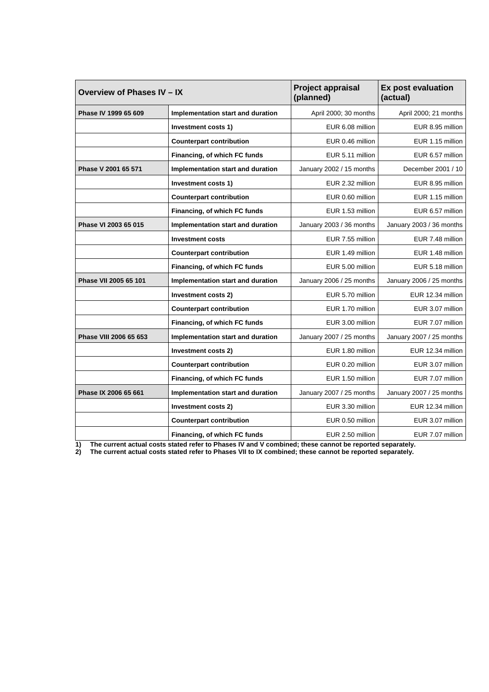| Overview of Phases IV - IX |                                   | Project appraisal<br>(planned) | <b>Ex post evaluation</b><br>(actual) |
|----------------------------|-----------------------------------|--------------------------------|---------------------------------------|
| Phase IV 1999 65 609       | Implementation start and duration | April 2000; 30 months          | April 2000; 21 months                 |
|                            | Investment costs 1)               | EUR 6.08 million               | EUR 8.95 million                      |
|                            | <b>Counterpart contribution</b>   | EUR 0.46 million               | EUR 1.15 million                      |
|                            | Financing, of which FC funds      | EUR 5.11 million               | EUR 6.57 million                      |
| Phase V 2001 65 571        | Implementation start and duration | January 2002 / 15 months       | December 2001 / 10                    |
|                            | Investment costs 1)               | EUR 2.32 million               | EUR 8.95 million                      |
|                            | <b>Counterpart contribution</b>   | EUR 0.60 million               | EUR 1.15 million                      |
|                            | Financing, of which FC funds      | EUR 1.53 million               | EUR 6.57 million                      |
| Phase VI 2003 65 015       | Implementation start and duration | January 2003 / 36 months       | January 2003 / 36 months              |
|                            | <b>Investment costs</b>           | EUR 7.55 million               | EUR 7.48 million                      |
|                            | <b>Counterpart contribution</b>   | EUR 1.49 million               | EUR 1.48 million                      |
|                            | Financing, of which FC funds      | EUR 5.00 million               | EUR 5.18 million                      |
| Phase VII 2005 65 101      | Implementation start and duration | January 2006 / 25 months       | January 2006 / 25 months              |
|                            | Investment costs 2)               | EUR 5.70 million               | EUR 12.34 million                     |
|                            | <b>Counterpart contribution</b>   | EUR 1.70 million               | EUR 3.07 million                      |
|                            | Financing, of which FC funds      | EUR 3.00 million               | EUR 7.07 million                      |
| Phase VIII 2006 65 653     | Implementation start and duration | January 2007 / 25 months       | January 2007 / 25 months              |
|                            | Investment costs 2)               | EUR 1.80 million               | EUR 12.34 million                     |
|                            | <b>Counterpart contribution</b>   | EUR 0.20 million               | EUR 3.07 million                      |
|                            | Financing, of which FC funds      | EUR 1.50 million               | EUR 7.07 million                      |
| Phase IX 2006 65 661       | Implementation start and duration | January 2007 / 25 months       | January 2007 / 25 months              |
|                            | Investment costs 2)               | EUR 3.30 million               | EUR 12.34 million                     |
|                            | <b>Counterpart contribution</b>   | EUR 0.50 million               | EUR 3.07 million                      |
|                            | Financing, of which FC funds      | EUR 2.50 million               | EUR 7.07 million                      |

**1) The current actual costs stated refer to Phases IV and V combined; these cannot be reported separately.** 

**2) The current actual costs stated refer to Phases VII to IX combined; these cannot be reported separately.**